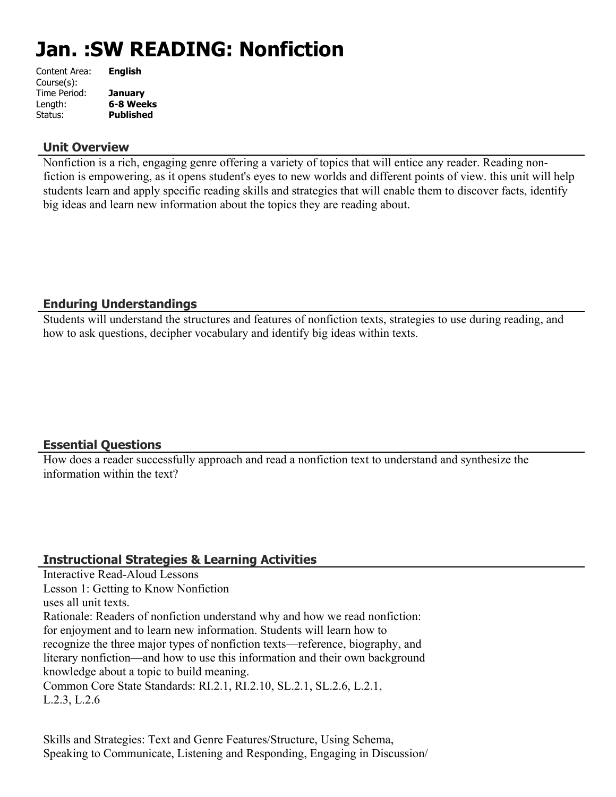# **Jan. :SW READING: Nonfiction**

| <b>English</b>   |
|------------------|
|                  |
| <b>January</b>   |
| 6-8 Weeks        |
| <b>Published</b> |
|                  |

#### **Unit Overview**

Nonfiction is a rich, engaging genre offering a variety of topics that will entice any reader. Reading nonfiction is empowering, as it opens student's eyes to new worlds and different points of view. this unit will help students learn and apply specific reading skills and strategies that will enable them to discover facts, identify big ideas and learn new information about the topics they are reading about.

#### **Enduring Understandings**

Students will understand the structures and features of nonfiction texts, strategies to use during reading, and how to ask questions, decipher vocabulary and identify big ideas within texts.

## **Essential Questions**

How does a reader successfully approach and read a nonfiction text to understand and synthesize the information within the text?

## **Instructional Strategies & Learning Activities**

Interactive Read-Aloud Lessons Lesson 1: Getting to Know Nonfiction uses all unit texts. Rationale: Readers of nonfiction understand why and how we read nonfiction: for enjoyment and to learn new information. Students will learn how to recognize the three major types of nonfiction texts—reference, biography, and literary nonfiction—and how to use this information and their own background knowledge about a topic to build meaning. Common Core State Standards: RI.2.1, RI.2.10, SL.2.1, SL.2.6, L.2.1, L.2.3, L.2.6

Skills and Strategies: Text and Genre Features/Structure, Using Schema, Speaking to Communicate, Listening and Responding, Engaging in Discussion/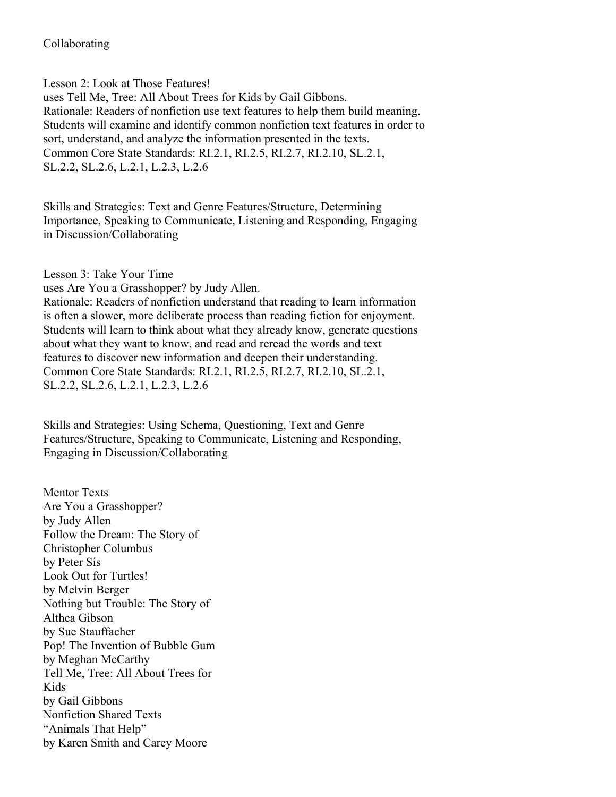#### Collaborating

Lesson 2: Look at Those Features!

uses Tell Me, Tree: All About Trees for Kids by Gail Gibbons. Rationale: Readers of nonfiction use text features to help them build meaning. Students will examine and identify common nonfiction text features in order to sort, understand, and analyze the information presented in the texts. Common Core State Standards: RI.2.1, RI.2.5, RI.2.7, RI.2.10, SL.2.1, SL.2.2, SL.2.6, L.2.1, L.2.3, L.2.6

Skills and Strategies: Text and Genre Features/Structure, Determining Importance, Speaking to Communicate, Listening and Responding, Engaging in Discussion/Collaborating

Lesson 3: Take Your Time uses Are You a Grasshopper? by Judy Allen. Rationale: Readers of nonfiction understand that reading to learn information is often a slower, more deliberate process than reading fiction for enjoyment. Students will learn to think about what they already know, generate questions about what they want to know, and read and reread the words and text features to discover new information and deepen their understanding. Common Core State Standards: RI.2.1, RI.2.5, RI.2.7, RI.2.10, SL.2.1, SL.2.2, SL.2.6, L.2.1, L.2.3, L.2.6

Skills and Strategies: Using Schema, Questioning, Text and Genre Features/Structure, Speaking to Communicate, Listening and Responding, Engaging in Discussion/Collaborating

Mentor Texts Are You a Grasshopper? by Judy Allen Follow the Dream: The Story of Christopher Columbus by Peter Sís Look Out for Turtles! by Melvin Berger Nothing but Trouble: The Story of Althea Gibson by Sue Stauffacher Pop! The Invention of Bubble Gum by Meghan McCarthy Tell Me, Tree: All About Trees for Kids by Gail Gibbons Nonfiction Shared Texts "Animals That Help" by Karen Smith and Carey Moore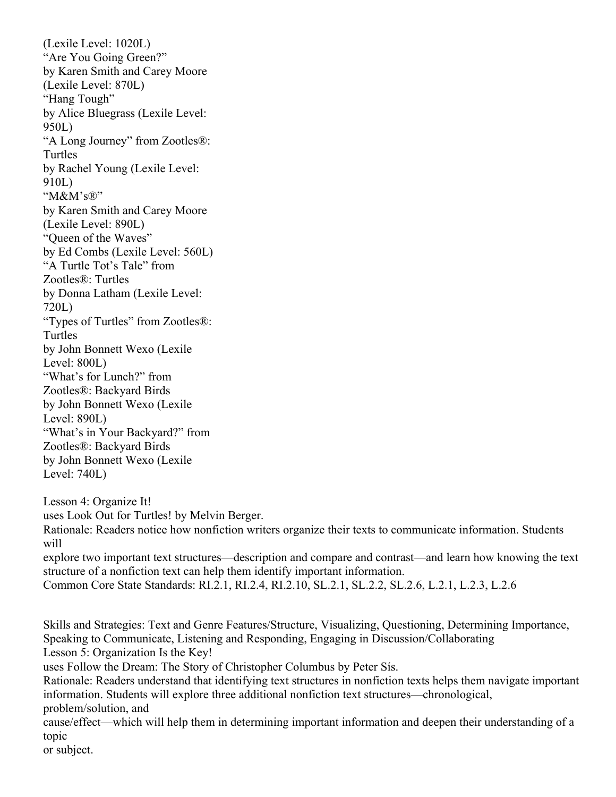(Lexile Level: 1020L) "Are You Going Green?" by Karen Smith and Carey Moore (Lexile Level: 870L) "Hang Tough" by Alice Bluegrass (Lexile Level: 950L) "A Long Journey" from Zootles®: Turtles by Rachel Young (Lexile Level: 910L) "M&M's®" by Karen Smith and Carey Moore (Lexile Level: 890L) "Queen of the Waves" by Ed Combs (Lexile Level: 560L) "A Turtle Tot's Tale" from Zootles®: Turtles by Donna Latham (Lexile Level: 720L) "Types of Turtles" from Zootles®: Turtles by John Bonnett Wexo (Lexile Level: 800L) "What's for Lunch?" from Zootles®: Backyard Birds by John Bonnett Wexo (Lexile Level: 890L) "What's in Your Backyard?" from Zootles®: Backyard Birds by John Bonnett Wexo (Lexile Level: 740L)

Lesson 4: Organize It! uses Look Out for Turtles! by Melvin Berger.

Rationale: Readers notice how nonfiction writers organize their texts to communicate information. Students will

explore two important text structures—description and compare and contrast—and learn how knowing the text structure of a nonfiction text can help them identify important information. Common Core State Standards: RI.2.1, RI.2.4, RI.2.10, SL.2.1, SL.2.2, SL.2.6, L.2.1, L.2.3, L.2.6

Skills and Strategies: Text and Genre Features/Structure, Visualizing, Questioning, Determining Importance, Speaking to Communicate, Listening and Responding, Engaging in Discussion/Collaborating Lesson 5: Organization Is the Key!

uses Follow the Dream: The Story of Christopher Columbus by Peter Sís.

Rationale: Readers understand that identifying text structures in nonfiction texts helps them navigate important information. Students will explore three additional nonfiction text structures—chronological, problem/solution, and

cause/effect—which will help them in determining important information and deepen their understanding of a topic

or subject.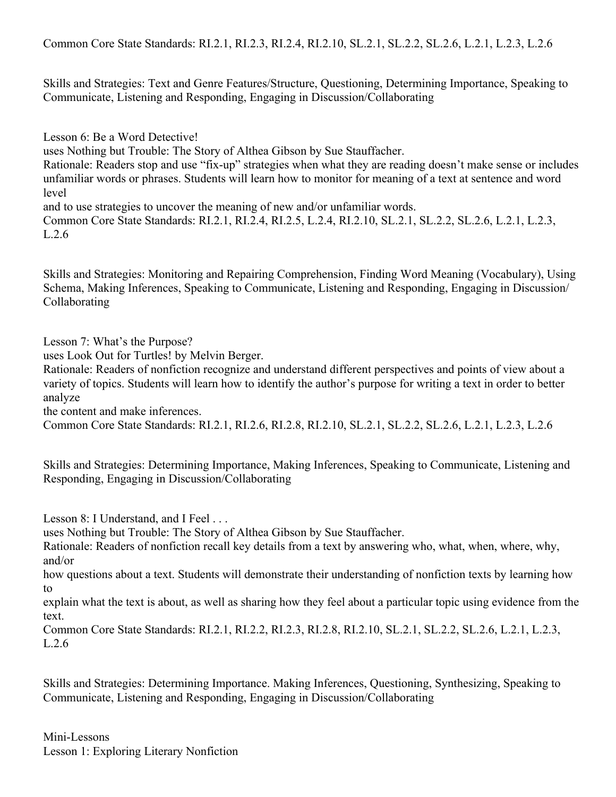Common Core State Standards: RI.2.1, RI.2.3, RI.2.4, RI.2.10, SL.2.1, SL.2.2, SL.2.6, L.2.1, L.2.3, L.2.6

Skills and Strategies: Text and Genre Features/Structure, Questioning, Determining Importance, Speaking to Communicate, Listening and Responding, Engaging in Discussion/Collaborating

Lesson 6: Be a Word Detective!

uses Nothing but Trouble: The Story of Althea Gibson by Sue Stauffacher.

Rationale: Readers stop and use "fix-up" strategies when what they are reading doesn't make sense or includes unfamiliar words or phrases. Students will learn how to monitor for meaning of a text at sentence and word level

and to use strategies to uncover the meaning of new and/or unfamiliar words.

Common Core State Standards: RI.2.1, RI.2.4, RI.2.5, L.2.4, RI.2.10, SL.2.1, SL.2.2, SL.2.6, L.2.1, L.2.3, L.2.6

Skills and Strategies: Monitoring and Repairing Comprehension, Finding Word Meaning (Vocabulary), Using Schema, Making Inferences, Speaking to Communicate, Listening and Responding, Engaging in Discussion/ Collaborating

Lesson 7: What's the Purpose?

uses Look Out for Turtles! by Melvin Berger.

Rationale: Readers of nonfiction recognize and understand different perspectives and points of view about a variety of topics. Students will learn how to identify the author's purpose for writing a text in order to better analyze

the content and make inferences.

Common Core State Standards: RI.2.1, RI.2.6, RI.2.8, RI.2.10, SL.2.1, SL.2.2, SL.2.6, L.2.1, L.2.3, L.2.6

Skills and Strategies: Determining Importance, Making Inferences, Speaking to Communicate, Listening and Responding, Engaging in Discussion/Collaborating

Lesson 8: I Understand, and I Feel ...

uses Nothing but Trouble: The Story of Althea Gibson by Sue Stauffacher.

Rationale: Readers of nonfiction recall key details from a text by answering who, what, when, where, why, and/or

how questions about a text. Students will demonstrate their understanding of nonfiction texts by learning how to

explain what the text is about, as well as sharing how they feel about a particular topic using evidence from the text.

Common Core State Standards: RI.2.1, RI.2.2, RI.2.3, RI.2.8, RI.2.10, SL.2.1, SL.2.2, SL.2.6, L.2.1, L.2.3, L.2.6

Skills and Strategies: Determining Importance. Making Inferences, Questioning, Synthesizing, Speaking to Communicate, Listening and Responding, Engaging in Discussion/Collaborating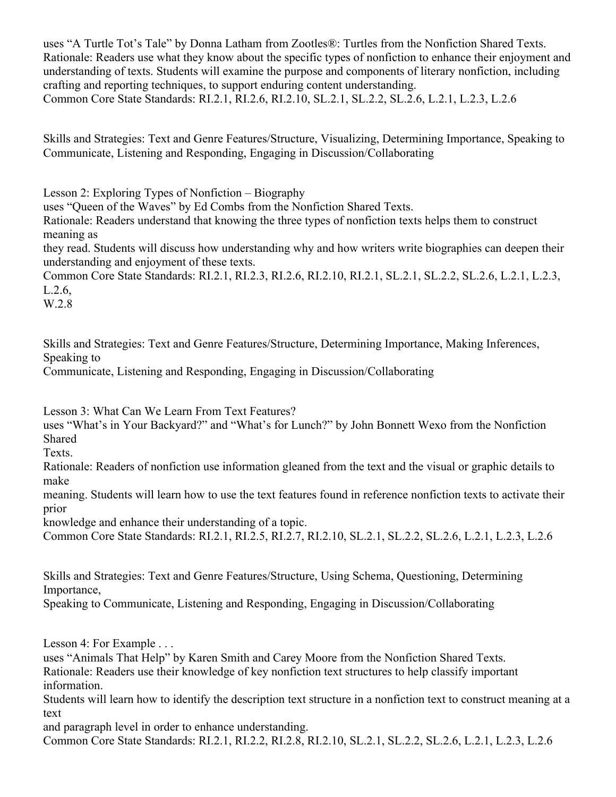uses "A Turtle Tot's Tale" by Donna Latham from Zootles®: Turtles from the Nonfiction Shared Texts. Rationale: Readers use what they know about the specific types of nonfiction to enhance their enjoyment and understanding of texts. Students will examine the purpose and components of literary nonfiction, including crafting and reporting techniques, to support enduring content understanding. Common Core State Standards: RI.2.1, RI.2.6, RI.2.10, SL.2.1, SL.2.2, SL.2.6, L.2.1, L.2.3, L.2.6

Skills and Strategies: Text and Genre Features/Structure, Visualizing, Determining Importance, Speaking to Communicate, Listening and Responding, Engaging in Discussion/Collaborating

Lesson 2: Exploring Types of Nonfiction – Biography uses "Queen of the Waves" by Ed Combs from the Nonfiction Shared Texts. Rationale: Readers understand that knowing the three types of nonfiction texts helps them to construct meaning as

they read. Students will discuss how understanding why and how writers write biographies can deepen their understanding and enjoyment of these texts.

Common Core State Standards: RI.2.1, RI.2.3, RI.2.6, RI.2.10, RI.2.1, SL.2.1, SL.2.2, SL.2.6, L.2.1, L.2.3, L.2.6,

W.2.8

Skills and Strategies: Text and Genre Features/Structure, Determining Importance, Making Inferences, Speaking to

Communicate, Listening and Responding, Engaging in Discussion/Collaborating

Lesson 3: What Can We Learn From Text Features?

uses "What's in Your Backyard?" and "What's for Lunch?" by John Bonnett Wexo from the Nonfiction Shared

Texts.

Rationale: Readers of nonfiction use information gleaned from the text and the visual or graphic details to make

meaning. Students will learn how to use the text features found in reference nonfiction texts to activate their prior

knowledge and enhance their understanding of a topic.

Common Core State Standards: RI.2.1, RI.2.5, RI.2.7, RI.2.10, SL.2.1, SL.2.2, SL.2.6, L.2.1, L.2.3, L.2.6

Skills and Strategies: Text and Genre Features/Structure, Using Schema, Questioning, Determining Importance,

Speaking to Communicate, Listening and Responding, Engaging in Discussion/Collaborating

Lesson 4: For Example . . .

uses "Animals That Help" by Karen Smith and Carey Moore from the Nonfiction Shared Texts. Rationale: Readers use their knowledge of key nonfiction text structures to help classify important information.

Students will learn how to identify the description text structure in a nonfiction text to construct meaning at a text

and paragraph level in order to enhance understanding.

Common Core State Standards: RI.2.1, RI.2.2, RI.2.8, RI.2.10, SL.2.1, SL.2.2, SL.2.6, L.2.1, L.2.3, L.2.6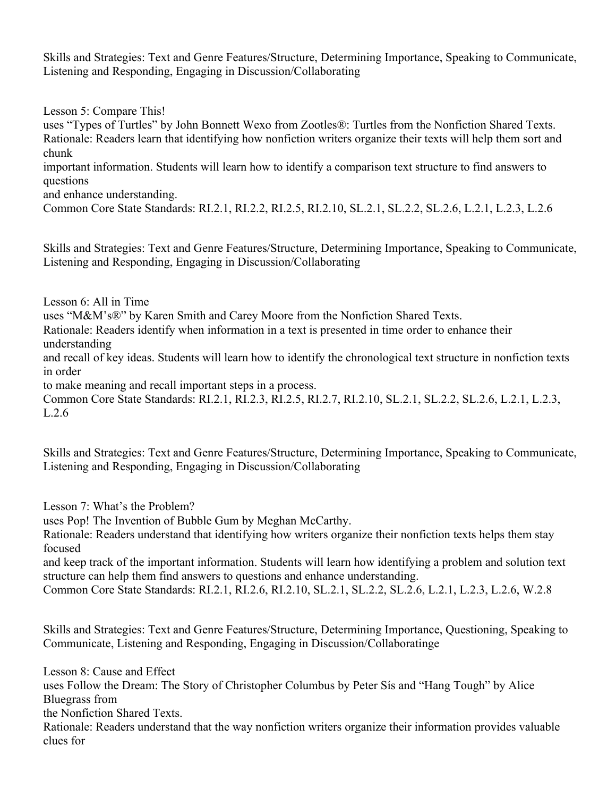Skills and Strategies: Text and Genre Features/Structure, Determining Importance, Speaking to Communicate, Listening and Responding, Engaging in Discussion/Collaborating

Lesson 5: Compare This!

uses "Types of Turtles" by John Bonnett Wexo from Zootles®: Turtles from the Nonfiction Shared Texts. Rationale: Readers learn that identifying how nonfiction writers organize their texts will help them sort and chunk

important information. Students will learn how to identify a comparison text structure to find answers to questions

and enhance understanding.

Common Core State Standards: RI.2.1, RI.2.2, RI.2.5, RI.2.10, SL.2.1, SL.2.2, SL.2.6, L.2.1, L.2.3, L.2.6

Skills and Strategies: Text and Genre Features/Structure, Determining Importance, Speaking to Communicate, Listening and Responding, Engaging in Discussion/Collaborating

Lesson 6: All in Time

uses "M&M's®" by Karen Smith and Carey Moore from the Nonfiction Shared Texts.

Rationale: Readers identify when information in a text is presented in time order to enhance their understanding

and recall of key ideas. Students will learn how to identify the chronological text structure in nonfiction texts in order

to make meaning and recall important steps in a process.

Common Core State Standards: RI.2.1, RI.2.3, RI.2.5, RI.2.7, RI.2.10, SL.2.1, SL.2.2, SL.2.6, L.2.1, L.2.3, L.2.6

Skills and Strategies: Text and Genre Features/Structure, Determining Importance, Speaking to Communicate, Listening and Responding, Engaging in Discussion/Collaborating

Lesson 7: What's the Problem?

uses Pop! The Invention of Bubble Gum by Meghan McCarthy.

Rationale: Readers understand that identifying how writers organize their nonfiction texts helps them stay focused

and keep track of the important information. Students will learn how identifying a problem and solution text structure can help them find answers to questions and enhance understanding.

Common Core State Standards: RI.2.1, RI.2.6, RI.2.10, SL.2.1, SL.2.2, SL.2.6, L.2.1, L.2.3, L.2.6, W.2.8

Skills and Strategies: Text and Genre Features/Structure, Determining Importance, Questioning, Speaking to Communicate, Listening and Responding, Engaging in Discussion/Collaboratinge

Lesson 8: Cause and Effect uses Follow the Dream: The Story of Christopher Columbus by Peter Sís and "Hang Tough" by Alice Bluegrass from the Nonfiction Shared Texts. Rationale: Readers understand that the way nonfiction writers organize their information provides valuable clues for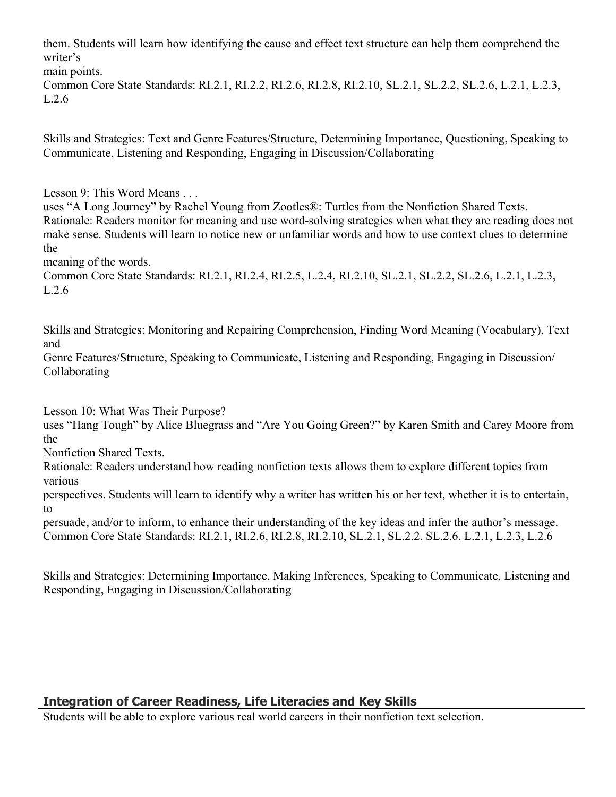them. Students will learn how identifying the cause and effect text structure can help them comprehend the writer's

main points. Common Core State Standards: RI.2.1, RI.2.2, RI.2.6, RI.2.8, RI.2.10, SL.2.1, SL.2.2, SL.2.6, L.2.1, L.2.3, L.2.6

Skills and Strategies: Text and Genre Features/Structure, Determining Importance, Questioning, Speaking to Communicate, Listening and Responding, Engaging in Discussion/Collaborating

Lesson 9: This Word Means . . .

uses "A Long Journey" by Rachel Young from Zootles®: Turtles from the Nonfiction Shared Texts. Rationale: Readers monitor for meaning and use word-solving strategies when what they are reading does not make sense. Students will learn to notice new or unfamiliar words and how to use context clues to determine the

meaning of the words.

Common Core State Standards: RI.2.1, RI.2.4, RI.2.5, L.2.4, RI.2.10, SL.2.1, SL.2.2, SL.2.6, L.2.1, L.2.3, L.2.6

Skills and Strategies: Monitoring and Repairing Comprehension, Finding Word Meaning (Vocabulary), Text and

Genre Features/Structure, Speaking to Communicate, Listening and Responding, Engaging in Discussion/ Collaborating

Lesson 10: What Was Their Purpose?

uses "Hang Tough" by Alice Bluegrass and "Are You Going Green?" by Karen Smith and Carey Moore from the

Nonfiction Shared Texts.

Rationale: Readers understand how reading nonfiction texts allows them to explore different topics from various

perspectives. Students will learn to identify why a writer has written his or her text, whether it is to entertain, to

persuade, and/or to inform, to enhance their understanding of the key ideas and infer the author's message. Common Core State Standards: RI.2.1, RI.2.6, RI.2.8, RI.2.10, SL.2.1, SL.2.2, SL.2.6, L.2.1, L.2.3, L.2.6

Skills and Strategies: Determining Importance, Making Inferences, Speaking to Communicate, Listening and Responding, Engaging in Discussion/Collaborating

# **Integration of Career Readiness, Life Literacies and Key Skills**

Students will be able to explore various real world careers in their nonfiction text selection.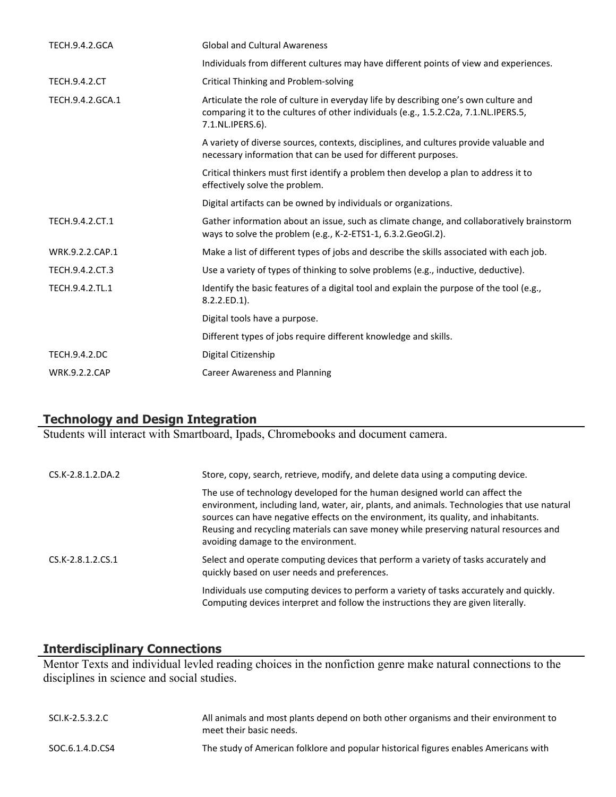| <b>TECH.9.4.2.GCA</b> | <b>Global and Cultural Awareness</b>                                                                                                                                                           |
|-----------------------|------------------------------------------------------------------------------------------------------------------------------------------------------------------------------------------------|
|                       | Individuals from different cultures may have different points of view and experiences.                                                                                                         |
| <b>TECH.9.4.2.CT</b>  | Critical Thinking and Problem-solving                                                                                                                                                          |
| TECH.9.4.2.GCA.1      | Articulate the role of culture in everyday life by describing one's own culture and<br>comparing it to the cultures of other individuals (e.g., 1.5.2.C2a, 7.1.NL.IPERS.5,<br>7.1.NL.IPERS.6). |
|                       | A variety of diverse sources, contexts, disciplines, and cultures provide valuable and<br>necessary information that can be used for different purposes.                                       |
|                       | Critical thinkers must first identify a problem then develop a plan to address it to<br>effectively solve the problem.                                                                         |
|                       | Digital artifacts can be owned by individuals or organizations.                                                                                                                                |
| TECH.9.4.2.CT.1       | Gather information about an issue, such as climate change, and collaboratively brainstorm<br>ways to solve the problem (e.g., K-2-ETS1-1, 6.3.2.GeoGI.2).                                      |
| WRK.9.2.2.CAP.1       | Make a list of different types of jobs and describe the skills associated with each job.                                                                                                       |
| TECH.9.4.2.CT.3       | Use a variety of types of thinking to solve problems (e.g., inductive, deductive).                                                                                                             |
| TECH.9.4.2.TL.1       | Identify the basic features of a digital tool and explain the purpose of the tool (e.g.,<br>$8.2.2$ .ED.1).                                                                                    |
|                       | Digital tools have a purpose.                                                                                                                                                                  |
|                       | Different types of jobs require different knowledge and skills.                                                                                                                                |
| <b>TECH.9.4.2.DC</b>  | Digital Citizenship                                                                                                                                                                            |
| <b>WRK.9.2.2.CAP</b>  | <b>Career Awareness and Planning</b>                                                                                                                                                           |

## **Technology and Design Integration**

Students will interact with Smartboard, Ipads, Chromebooks and document camera.

| CS.K-2.8.1.2.DA.2   | Store, copy, search, retrieve, modify, and delete data using a computing device.                                                                                                                                                                                                                                                                                                                  |
|---------------------|---------------------------------------------------------------------------------------------------------------------------------------------------------------------------------------------------------------------------------------------------------------------------------------------------------------------------------------------------------------------------------------------------|
|                     | The use of technology developed for the human designed world can affect the<br>environment, including land, water, air, plants, and animals. Technologies that use natural<br>sources can have negative effects on the environment, its quality, and inhabitants.<br>Reusing and recycling materials can save money while preserving natural resources and<br>avoiding damage to the environment. |
| $CS.K-2.8.1.2.CS.1$ | Select and operate computing devices that perform a variety of tasks accurately and<br>quickly based on user needs and preferences.                                                                                                                                                                                                                                                               |
|                     | Individuals use computing devices to perform a variety of tasks accurately and quickly.<br>Computing devices interpret and follow the instructions they are given literally.                                                                                                                                                                                                                      |

#### **Interdisciplinary Connections**

Mentor Texts and individual levled reading choices in the nonfiction genre make natural connections to the disciplines in science and social studies.

| SCI.K-2.5.3.2.C | All animals and most plants depend on both other organisms and their environment to<br>meet their basic needs. |
|-----------------|----------------------------------------------------------------------------------------------------------------|
| SOC.6.1.4.D.CS4 | The study of American folklore and popular historical figures enables Americans with                           |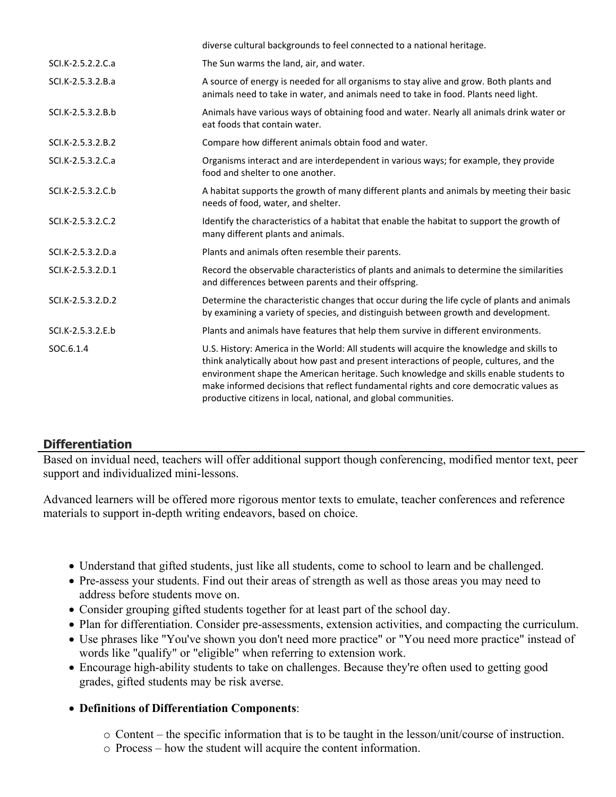| diverse cultural backgrounds to feel connected to a national heritage.                                                                                                                                                                                                                                                                                                                                                                    |
|-------------------------------------------------------------------------------------------------------------------------------------------------------------------------------------------------------------------------------------------------------------------------------------------------------------------------------------------------------------------------------------------------------------------------------------------|
| The Sun warms the land, air, and water.                                                                                                                                                                                                                                                                                                                                                                                                   |
| A source of energy is needed for all organisms to stay alive and grow. Both plants and<br>animals need to take in water, and animals need to take in food. Plants need light.                                                                                                                                                                                                                                                             |
| Animals have various ways of obtaining food and water. Nearly all animals drink water or<br>eat foods that contain water.                                                                                                                                                                                                                                                                                                                 |
| Compare how different animals obtain food and water.                                                                                                                                                                                                                                                                                                                                                                                      |
| Organisms interact and are interdependent in various ways; for example, they provide<br>food and shelter to one another.                                                                                                                                                                                                                                                                                                                  |
| A habitat supports the growth of many different plants and animals by meeting their basic<br>needs of food, water, and shelter.                                                                                                                                                                                                                                                                                                           |
| Identify the characteristics of a habitat that enable the habitat to support the growth of<br>many different plants and animals.                                                                                                                                                                                                                                                                                                          |
| Plants and animals often resemble their parents.                                                                                                                                                                                                                                                                                                                                                                                          |
| Record the observable characteristics of plants and animals to determine the similarities<br>and differences between parents and their offspring.                                                                                                                                                                                                                                                                                         |
| Determine the characteristic changes that occur during the life cycle of plants and animals<br>by examining a variety of species, and distinguish between growth and development.                                                                                                                                                                                                                                                         |
| Plants and animals have features that help them survive in different environments.                                                                                                                                                                                                                                                                                                                                                        |
| U.S. History: America in the World: All students will acquire the knowledge and skills to<br>think analytically about how past and present interactions of people, cultures, and the<br>environment shape the American heritage. Such knowledge and skills enable students to<br>make informed decisions that reflect fundamental rights and core democratic values as<br>productive citizens in local, national, and global communities. |
|                                                                                                                                                                                                                                                                                                                                                                                                                                           |

# **Differentiation**

Based on invidual need, teachers will offer additional support though conferencing, modified mentor text, peer support and individualized mini-lessons.

Advanced learners will be offered more rigorous mentor texts to emulate, teacher conferences and reference materials to support in-depth writing endeavors, based on choice.

- Understand that gifted students, just like all students, come to school to learn and be challenged.
- Pre-assess your students. Find out their areas of strength as well as those areas you may need to address before students move on.
- Consider grouping gifted students together for at least part of the school day.
- Plan for differentiation. Consider pre-assessments, extension activities, and compacting the curriculum.
- Use phrases like "You've shown you don't need more practice" or "You need more practice" instead of words like "qualify" or "eligible" when referring to extension work.
- Encourage high-ability students to take on challenges. Because they're often used to getting good grades, gifted students may be risk averse.
- **Definitions of Differentiation Components**:
	- o Content the specific information that is to be taught in the lesson/unit/course of instruction.
	- o Process how the student will acquire the content information.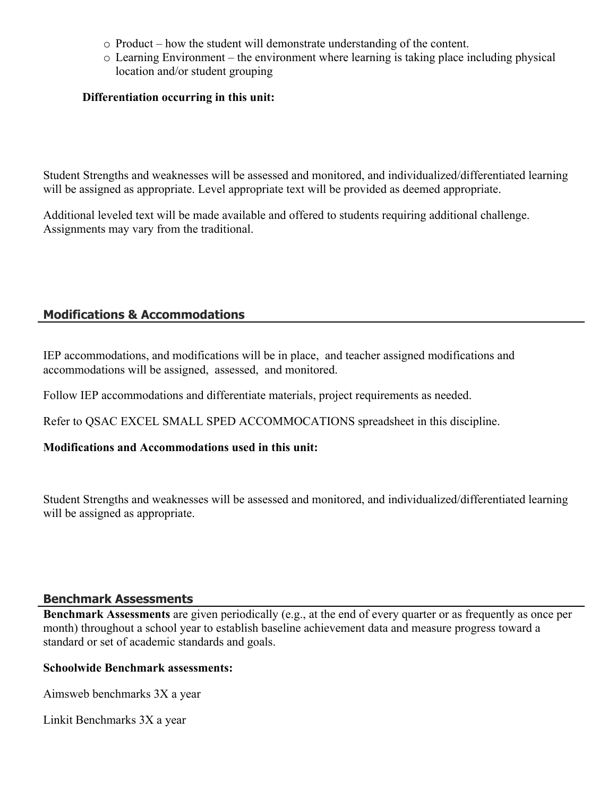- o Product how the student will demonstrate understanding of the content.
- o Learning Environment the environment where learning is taking place including physical location and/or student grouping

#### **Differentiation occurring in this unit:**

Student Strengths and weaknesses will be assessed and monitored, and individualized/differentiated learning will be assigned as appropriate. Level appropriate text will be provided as deemed appropriate.

Additional leveled text will be made available and offered to students requiring additional challenge. Assignments may vary from the traditional.

# **Modifications & Accommodations**

IEP accommodations, and modifications will be in place, and teacher assigned modifications and accommodations will be assigned, assessed, and monitored.

Follow IEP accommodations and differentiate materials, project requirements as needed.

Refer to QSAC EXCEL SMALL SPED ACCOMMOCATIONS spreadsheet in this discipline.

#### **Modifications and Accommodations used in this unit:**

Student Strengths and weaknesses will be assessed and monitored, and individualized/differentiated learning will be assigned as appropriate.

#### **Benchmark Assessments**

**Benchmark Assessments** are given periodically (e.g., at the end of every quarter or as frequently as once per month) throughout a school year to establish baseline achievement data and measure progress toward a standard or set of academic standards and goals.

#### **Schoolwide Benchmark assessments:**

Aimsweb benchmarks 3X a year

Linkit Benchmarks 3X a year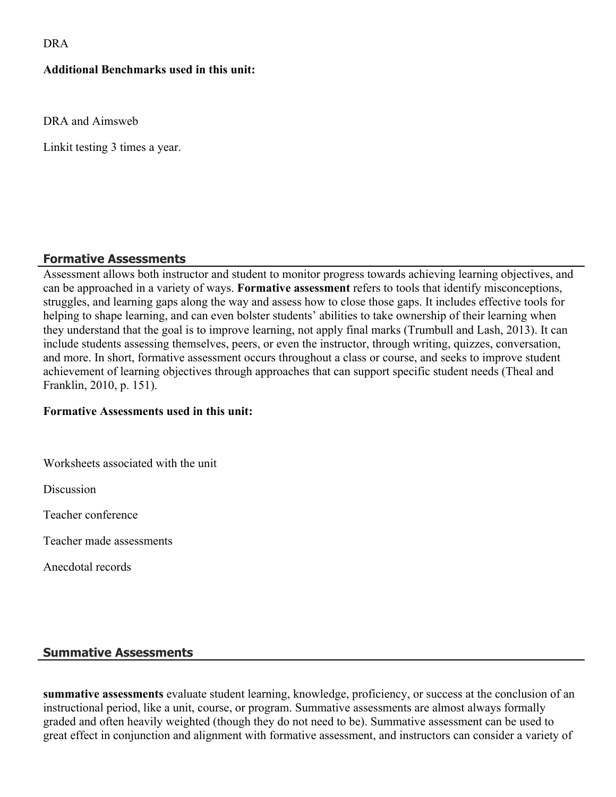DRA

#### **Additional Benchmarks used in this unit:**

DRA and Aimsweb

Linkit testing 3 times a year.

## **Formative Assessments**

Assessment allows both instructor and student to monitor progress towards achieving learning objectives, and can be approached in a variety of ways. **Formative assessment** refers to tools that identify misconceptions, struggles, and learning gaps along the way and assess how to close those gaps. It includes effective tools for helping to shape learning, and can even bolster students' abilities to take ownership of their learning when they understand that the goal is to improve learning, not apply final marks (Trumbull and Lash, 2013). It can include students assessing themselves, peers, or even the instructor, through writing, quizzes, conversation, and more. In short, formative assessment occurs throughout a class or course, and seeks to improve student achievement of learning objectives through approaches that can support specific student needs (Theal and Franklin, 2010, p. 151).

#### **Formative Assessments used in this unit:**

Worksheets associated with the unit

**Discussion** 

Teacher conference

Teacher made assessments

Anecdotal records

#### **Summative Assessments**

**summative assessments** evaluate student learning, knowledge, proficiency, or success at the conclusion of an instructional period, like a unit, course, or program. Summative assessments are almost always formally graded and often heavily weighted (though they do not need to be). Summative assessment can be used to great effect in conjunction and alignment with formative assessment, and instructors can consider a variety of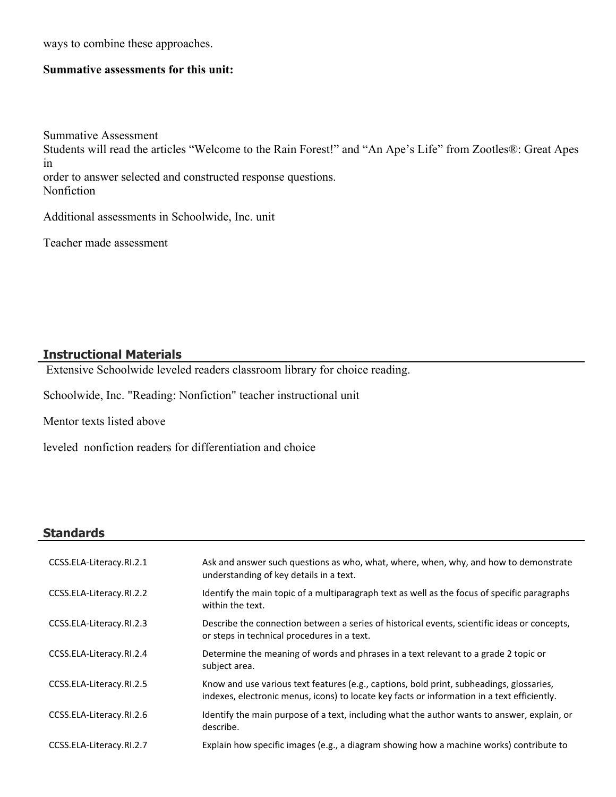ways to combine these approaches.

#### **Summative assessments for this unit:**

Summative Assessment Students will read the articles "Welcome to the Rain Forest!" and "An Ape's Life" from Zootles®: Great Apes in order to answer selected and constructed response questions. Nonfiction

Additional assessments in Schoolwide, Inc. unit

Teacher made assessment

#### **Instructional Materials**

Extensive Schoolwide leveled readers classroom library for choice reading.

Schoolwide, Inc. "Reading: Nonfiction" teacher instructional unit

Mentor texts listed above

leveled nonfiction readers for differentiation and choice

#### **Standards**

| CCSS.ELA-Literacy.RI.2.1 | Ask and answer such questions as who, what, where, when, why, and how to demonstrate<br>understanding of key details in a text.                                                         |
|--------------------------|-----------------------------------------------------------------------------------------------------------------------------------------------------------------------------------------|
| CCSS.ELA-Literacy.RI.2.2 | Identify the main topic of a multiparagraph text as well as the focus of specific paragraphs<br>within the text.                                                                        |
| CCSS.ELA-Literacy.RI.2.3 | Describe the connection between a series of historical events, scientific ideas or concepts,<br>or steps in technical procedures in a text.                                             |
| CCSS.ELA-Literacy.RI.2.4 | Determine the meaning of words and phrases in a text relevant to a grade 2 topic or<br>subject area.                                                                                    |
| CCSS.ELA-Literacy.RI.2.5 | Know and use various text features (e.g., captions, bold print, subheadings, glossaries,<br>indexes, electronic menus, icons) to locate key facts or information in a text efficiently. |
| CCSS.ELA-Literacy.RI.2.6 | Identify the main purpose of a text, including what the author wants to answer, explain, or<br>describe.                                                                                |
| CCSS.ELA-Literacy.RI.2.7 | Explain how specific images (e.g., a diagram showing how a machine works) contribute to                                                                                                 |